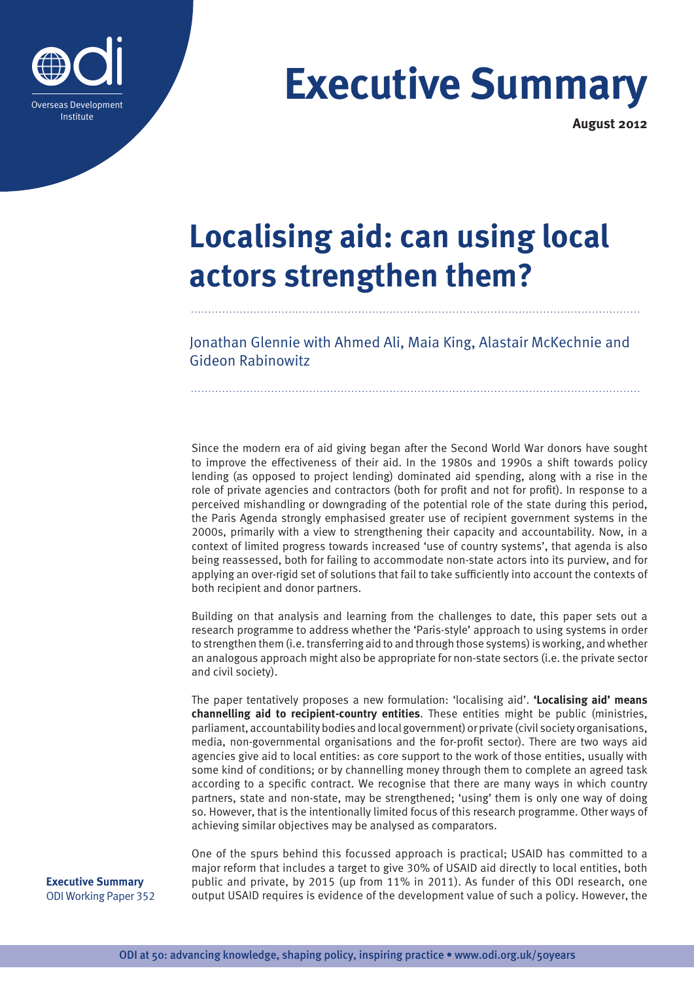

# **Executive Summary**

**August 2012**

# **Localising aid: can using local actors strengthen them?**

Jonathan Glennie with Ahmed Ali, Maia King, Alastair McKechnie and Gideon Rabinowitz

Since the modern era of aid giving began after the Second World War donors have sought to improve the effectiveness of their aid. In the 1980s and 1990s a shift towards policy lending (as opposed to project lending) dominated aid spending, along with a rise in the role of private agencies and contractors (both for profit and not for profit). In response to a perceived mishandling or downgrading of the potential role of the state during this period, the Paris Agenda strongly emphasised greater use of recipient government systems in the 2000s, primarily with a view to strengthening their capacity and accountability. Now, in a context of limited progress towards increased 'use of country systems', that agenda is also being reassessed, both for failing to accommodate non-state actors into its purview, and for applying an over-rigid set of solutions that fail to take sufficiently into account the contexts of both recipient and donor partners.

Building on that analysis and learning from the challenges to date, this paper sets out a research programme to address whether the 'Paris-style' approach to using systems in order to strengthen them (i.e. transferring aid to and through those systems) is working, and whether an analogous approach might also be appropriate for non-state sectors (i.e. the private sector and civil society).

The paper tentatively proposes a new formulation: 'localising aid'. **'Localising aid' means channelling aid to recipient-country entities**. These entities might be public (ministries, parliament, accountability bodies and local government) or private (civil society organisations, media, non-governmental organisations and the for-profit sector). There are two ways aid agencies give aid to local entities: as core support to the work of those entities, usually with some kind of conditions; or by channelling money through them to complete an agreed task according to a specific contract. We recognise that there are many ways in which country partners, state and non-state, may be strengthened; 'using' them is only one way of doing so. However, that is the intentionally limited focus of this research programme. Other ways of achieving similar objectives may be analysed as comparators.

One of the spurs behind this focussed approach is practical; USAID has committed to a major reform that includes a target to give 30% of USAID aid directly to local entities, both public and private, by 2015 (up from 11% in 2011). As funder of this ODI research, one output USAID requires is evidence of the development value of such a policy. However, the

**Executive Summary**  ODI Working Paper 352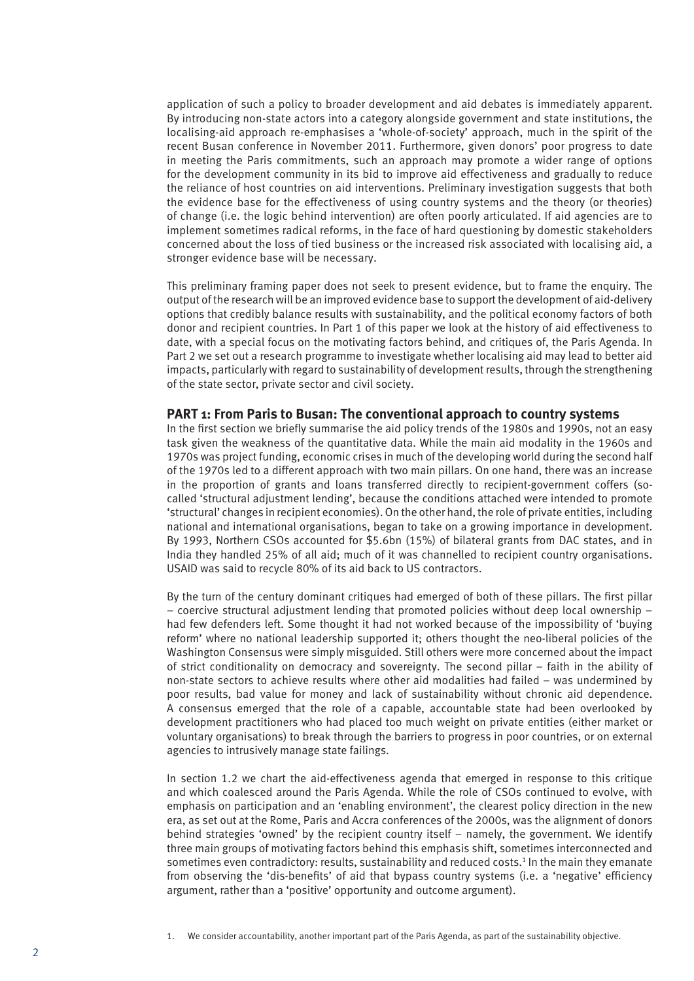application of such a policy to broader development and aid debates is immediately apparent. By introducing non-state actors into a category alongside government and state institutions, the localising-aid approach re-emphasises a 'whole-of-society' approach, much in the spirit of the recent Busan conference in November 2011. Furthermore, given donors' poor progress to date in meeting the Paris commitments, such an approach may promote a wider range of options for the development community in its bid to improve aid effectiveness and gradually to reduce the reliance of host countries on aid interventions. Preliminary investigation suggests that both the evidence base for the effectiveness of using country systems and the theory (or theories) of change (i.e. the logic behind intervention) are often poorly articulated. If aid agencies are to implement sometimes radical reforms, in the face of hard questioning by domestic stakeholders concerned about the loss of tied business or the increased risk associated with localising aid, a stronger evidence base will be necessary.

This preliminary framing paper does not seek to present evidence, but to frame the enquiry. The output of the research will be an improved evidence base to support the development of aid-delivery options that credibly balance results with sustainability, and the political economy factors of both donor and recipient countries. In Part 1 of this paper we look at the history of aid effectiveness to date, with a special focus on the motivating factors behind, and critiques of, the Paris Agenda. In Part 2 we set out a research programme to investigate whether localising aid may lead to better aid impacts, particularly with regard to sustainability of development results, through the strengthening of the state sector, private sector and civil society.

#### **PART 1: From Paris to Busan: The conventional approach to country systems**

In the first section we briefly summarise the aid policy trends of the 1980s and 1990s, not an easy task given the weakness of the quantitative data. While the main aid modality in the 1960s and 1970s was project funding, economic crises in much of the developing world during the second half of the 1970s led to a different approach with two main pillars. On one hand, there was an increase in the proportion of grants and loans transferred directly to recipient-government coffers (socalled 'structural adjustment lending', because the conditions attached were intended to promote 'structural' changes in recipient economies). On the other hand, the role of private entities, including national and international organisations, began to take on a growing importance in development. By 1993, Northern CSOs accounted for \$5.6bn (15%) of bilateral grants from DAC states, and in India they handled 25% of all aid; much of it was channelled to recipient country organisations. USAID was said to recycle 80% of its aid back to US contractors.

By the turn of the century dominant critiques had emerged of both of these pillars. The first pillar − coercive structural adjustment lending that promoted policies without deep local ownership − had few defenders left. Some thought it had not worked because of the impossibility of 'buying reform' where no national leadership supported it; others thought the neo-liberal policies of the Washington Consensus were simply misguided. Still others were more concerned about the impact of strict conditionality on democracy and sovereignty. The second pillar − faith in the ability of non-state sectors to achieve results where other aid modalities had failed − was undermined by poor results, bad value for money and lack of sustainability without chronic aid dependence. A consensus emerged that the role of a capable, accountable state had been overlooked by development practitioners who had placed too much weight on private entities (either market or voluntary organisations) to break through the barriers to progress in poor countries, or on external agencies to intrusively manage state failings.

In section 1.2 we chart the aid-effectiveness agenda that emerged in response to this critique and which coalesced around the Paris Agenda. While the role of CSOs continued to evolve, with emphasis on participation and an 'enabling environment', the clearest policy direction in the new era, as set out at the Rome, Paris and Accra conferences of the 2000s, was the alignment of donors behind strategies 'owned' by the recipient country itself − namely, the government. We identify three main groups of motivating factors behind this emphasis shift, sometimes interconnected and sometimes even contradictory: results, sustainability and reduced costs.<sup>1</sup> In the main they emanate from observing the 'dis-benefits' of aid that bypass country systems (i.e. a 'negative' efficiency argument, rather than a 'positive' opportunity and outcome argument).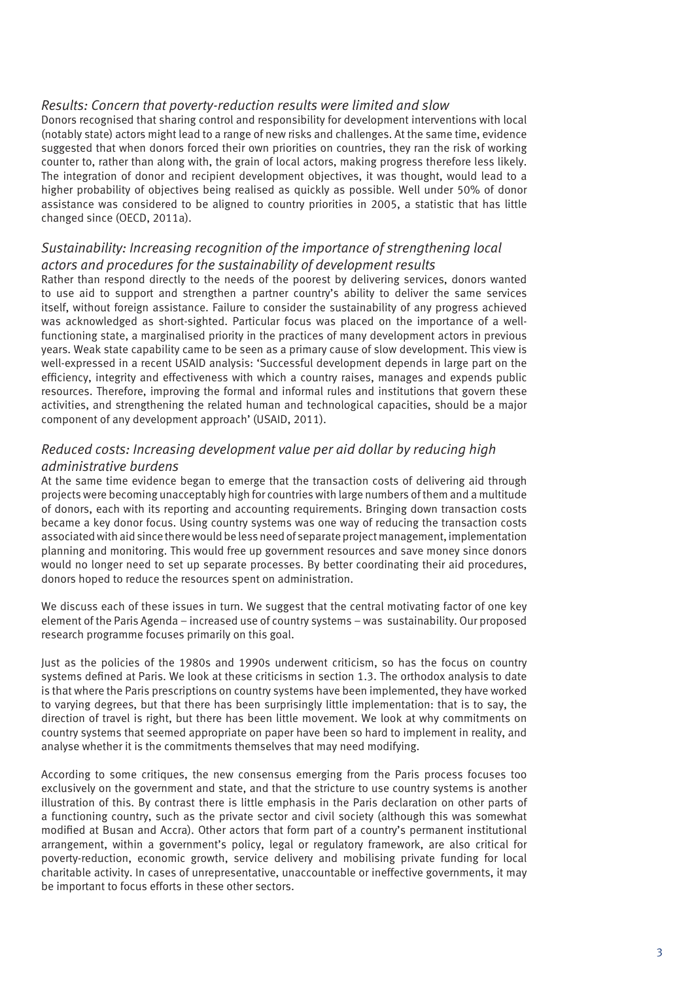# *Results: Concern that poverty-reduction results were limited and slow*

Donors recognised that sharing control and responsibility for development interventions with local (notably state) actors might lead to a range of new risks and challenges. At the same time, evidence suggested that when donors forced their own priorities on countries, they ran the risk of working counter to, rather than along with, the grain of local actors, making progress therefore less likely. The integration of donor and recipient development objectives, it was thought, would lead to a higher probability of objectives being realised as quickly as possible. Well under 50% of donor assistance was considered to be aligned to country priorities in 2005, a statistic that has little changed since (OECD, 2011a).

# *Sustainability: Increasing recognition of the importance of strengthening local actors and procedures for the sustainability of development results*

Rather than respond directly to the needs of the poorest by delivering services, donors wanted to use aid to support and strengthen a partner country's ability to deliver the same services itself, without foreign assistance. Failure to consider the sustainability of any progress achieved was acknowledged as short-sighted. Particular focus was placed on the importance of a wellfunctioning state, a marginalised priority in the practices of many development actors in previous years. Weak state capability came to be seen as a primary cause of slow development. This view is well-expressed in a recent USAID analysis: 'Successful development depends in large part on the efficiency, integrity and effectiveness with which a country raises, manages and expends public resources. Therefore, improving the formal and informal rules and institutions that govern these activities, and strengthening the related human and technological capacities, should be a major component of any development approach' (USAID, 2011).

# *Reduced costs: Increasing development value per aid dollar by reducing high administrative burdens*

At the same time evidence began to emerge that the transaction costs of delivering aid through projects were becoming unacceptably high for countries with large numbers of them and a multitude of donors, each with its reporting and accounting requirements. Bringing down transaction costs became a key donor focus. Using country systems was one way of reducing the transaction costs associated with aid since there would be less need of separate project management, implementation planning and monitoring. This would free up government resources and save money since donors would no longer need to set up separate processes. By better coordinating their aid procedures, donors hoped to reduce the resources spent on administration.

We discuss each of these issues in turn. We suggest that the central motivating factor of one key element of the Paris Agenda − increased use of country systems − was sustainability. Our proposed research programme focuses primarily on this goal.

Just as the policies of the 1980s and 1990s underwent criticism, so has the focus on country systems defined at Paris. We look at these criticisms in section 1.3. The orthodox analysis to date is that where the Paris prescriptions on country systems have been implemented, they have worked to varying degrees, but that there has been surprisingly little implementation: that is to say, the direction of travel is right, but there has been little movement. We look at why commitments on country systems that seemed appropriate on paper have been so hard to implement in reality, and analyse whether it is the commitments themselves that may need modifying.

According to some critiques, the new consensus emerging from the Paris process focuses too exclusively on the government and state, and that the stricture to use country systems is another illustration of this. By contrast there is little emphasis in the Paris declaration on other parts of a functioning country, such as the private sector and civil society (although this was somewhat modified at Busan and Accra). Other actors that form part of a country's permanent institutional arrangement, within a government's policy, legal or regulatory framework, are also critical for poverty-reduction, economic growth, service delivery and mobilising private funding for local charitable activity. In cases of unrepresentative, unaccountable or ineffective governments, it may be important to focus efforts in these other sectors.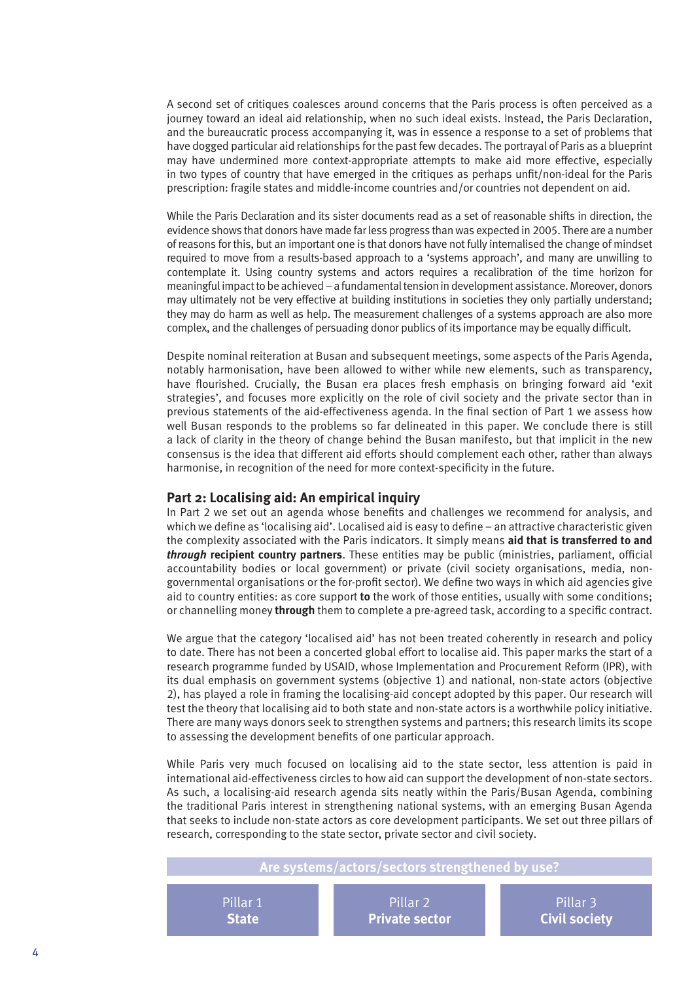A second set of critiques coalesces around concerns that the Paris process is often perceived as a journey toward an ideal aid relationship, when no such ideal exists. Instead, the Paris Declaration, and the bureaucratic process accompanying it, was in essence a response to a set of problems that have dogged particular aid relationships for the past few decades. The portrayal of Paris as a blueprint may have undermined more context-appropriate attempts to make aid more effective, especially in two types of country that have emerged in the critiques as perhaps unfit/non-ideal for the Paris prescription: fragile states and middle-income countries and/or countries not dependent on aid.

While the Paris Declaration and its sister documents read as a set of reasonable shifts in direction, the evidence shows that donors have made far less progress than was expected in 2005. There are a number of reasons for this, but an important one is that donors have not fully internalised the change of mindset required to move from a results-based approach to a 'systems approach', and many are unwilling to contemplate it. Using country systems and actors requires a recalibration of the time horizon for meaningful impact to be achieved − a fundamental tension in development assistance. Moreover, donors may ultimately not be very effective at building institutions in societies they only partially understand; they may do harm as well as help. The measurement challenges of a systems approach are also more complex, and the challenges of persuading donor publics of its importance may be equally difficult.

Despite nominal reiteration at Busan and subsequent meetings, some aspects of the Paris Agenda, notably harmonisation, have been allowed to wither while new elements, such as transparency, have flourished. Crucially, the Busan era places fresh emphasis on bringing forward aid 'exit strategies', and focuses more explicitly on the role of civil society and the private sector than in previous statements of the aid-effectiveness agenda. In the final section of Part 1 we assess how well Busan responds to the problems so far delineated in this paper. We conclude there is still a lack of clarity in the theory of change behind the Busan manifesto, but that implicit in the new consensus is the idea that different aid efforts should complement each other, rather than always harmonise, in recognition of the need for more context-specificity in the future.

## **Part 2: Localising aid: An empirical inquiry**

In Part 2 we set out an agenda whose benefits and challenges we recommend for analysis, and which we define as 'localising aid'. Localised aid is easy to define − an attractive characteristic given the complexity associated with the Paris indicators. It simply means **aid that is transferred to and**  *through* **recipient country partners**. These entities may be public (ministries, parliament, official accountability bodies or local government) or private (civil society organisations, media, nongovernmental organisations or the for-profit sector). We define two ways in which aid agencies give aid to country entities: as core support **to** the work of those entities, usually with some conditions; or channelling money **through** them to complete a pre-agreed task, according to a specific contract.

We argue that the category 'localised aid' has not been treated coherently in research and policy to date. There has not been a concerted global effort to localise aid. This paper marks the start of a research programme funded by USAID, whose Implementation and Procurement Reform (IPR), with its dual emphasis on government systems (objective 1) and national, non-state actors (objective 2), has played a role in framing the localising-aid concept adopted by this paper. Our research will test the theory that localising aid to both state and non-state actors is a worthwhile policy initiative. There are many ways donors seek to strengthen systems and partners; this research limits its scope to assessing the development benefits of one particular approach.

While Paris very much focused on localising aid to the state sector, less attention is paid in international aid-effectiveness circles to how aid can support the development of non-state sectors. As such, a localising-aid research agenda sits neatly within the Paris/Busan Agenda, combining the traditional Paris interest in strengthening national systems, with an emerging Busan Agenda that seeks to include non-state actors as core development participants. We set out three pillars of research, corresponding to the state sector, private sector and civil society.

# **Are systems/actors/sectors strengthened by use?**

Pillar 1 **State**

Pillar 2 **Private sector**

Pillar 3 **Civil society**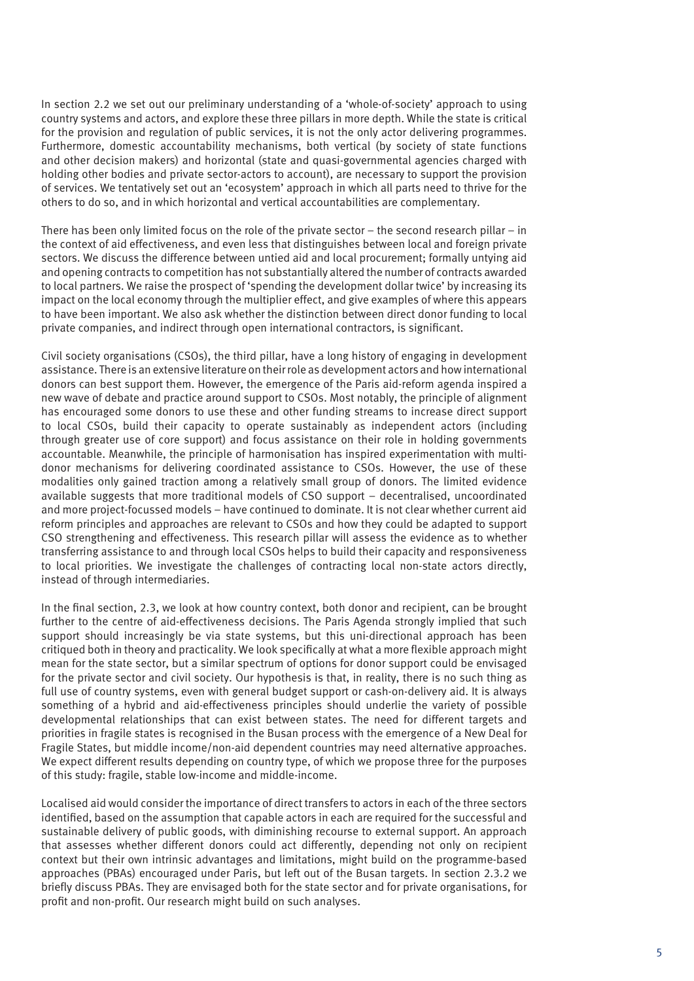In section 2.2 we set out our preliminary understanding of a 'whole-of-society' approach to using country systems and actors, and explore these three pillars in more depth. While the state is critical for the provision and regulation of public services, it is not the only actor delivering programmes. Furthermore, domestic accountability mechanisms, both vertical (by society of state functions and other decision makers) and horizontal (state and quasi-governmental agencies charged with holding other bodies and private sector-actors to account), are necessary to support the provision of services. We tentatively set out an 'ecosystem' approach in which all parts need to thrive for the others to do so, and in which horizontal and vertical accountabilities are complementary.

There has been only limited focus on the role of the private sector – the second research pillar – in the context of aid effectiveness, and even less that distinguishes between local and foreign private sectors. We discuss the difference between untied aid and local procurement; formally untying aid and opening contracts to competition has not substantially altered the number of contracts awarded to local partners. We raise the prospect of 'spending the development dollar twice' by increasing its impact on the local economy through the multiplier effect, and give examples of where this appears to have been important. We also ask whether the distinction between direct donor funding to local private companies, and indirect through open international contractors, is significant.

Civil society organisations (CSOs), the third pillar, have a long history of engaging in development assistance. There is an extensive literature on their role as development actors and how international donors can best support them. However, the emergence of the Paris aid-reform agenda inspired a new wave of debate and practice around support to CSOs. Most notably, the principle of alignment has encouraged some donors to use these and other funding streams to increase direct support to local CSOs, build their capacity to operate sustainably as independent actors (including through greater use of core support) and focus assistance on their role in holding governments accountable. Meanwhile, the principle of harmonisation has inspired experimentation with multidonor mechanisms for delivering coordinated assistance to CSOs. However, the use of these modalities only gained traction among a relatively small group of donors. The limited evidence available suggests that more traditional models of CSO support – decentralised, uncoordinated and more project-focussed models – have continued to dominate. It is not clear whether current aid reform principles and approaches are relevant to CSOs and how they could be adapted to support CSO strengthening and effectiveness. This research pillar will assess the evidence as to whether transferring assistance to and through local CSOs helps to build their capacity and responsiveness to local priorities. We investigate the challenges of contracting local non-state actors directly, instead of through intermediaries.

In the final section, 2.3, we look at how country context, both donor and recipient, can be brought further to the centre of aid-effectiveness decisions. The Paris Agenda strongly implied that such support should increasingly be via state systems, but this uni-directional approach has been critiqued both in theory and practicality. We look specifically at what a more flexible approach might mean for the state sector, but a similar spectrum of options for donor support could be envisaged for the private sector and civil society. Our hypothesis is that, in reality, there is no such thing as full use of country systems, even with general budget support or cash-on-delivery aid. It is always something of a hybrid and aid-effectiveness principles should underlie the variety of possible developmental relationships that can exist between states. The need for different targets and priorities in fragile states is recognised in the Busan process with the emergence of a New Deal for Fragile States, but middle income/non-aid dependent countries may need alternative approaches. We expect different results depending on country type, of which we propose three for the purposes of this study: fragile, stable low-income and middle-income.

Localised aid would consider the importance of direct transfers to actors in each of the three sectors identified, based on the assumption that capable actors in each are required for the successful and sustainable delivery of public goods, with diminishing recourse to external support. An approach that assesses whether different donors could act differently, depending not only on recipient context but their own intrinsic advantages and limitations, might build on the programme-based approaches (PBAs) encouraged under Paris, but left out of the Busan targets. In section 2.3.2 we briefly discuss PBAs. They are envisaged both for the state sector and for private organisations, for profit and non-profit. Our research might build on such analyses.